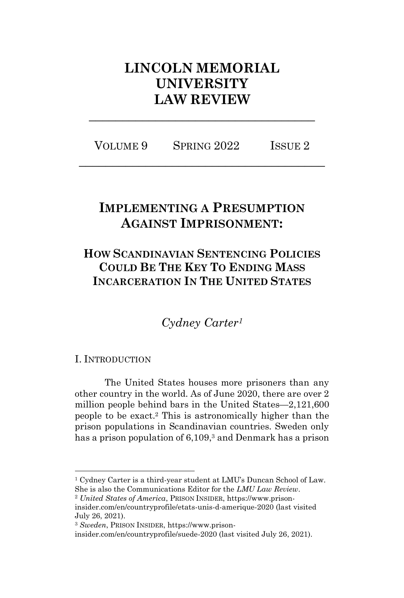# **LINCOLN MEMORIAL UNIVERSITY LAW REVIEW**

VOLUME 9 SPRING 2022 ISSUE 2 **\_\_\_\_\_\_\_\_\_\_\_\_\_\_\_\_\_\_\_\_\_\_\_\_\_\_\_\_\_\_\_\_\_\_\_\_\_**

**\_\_\_\_\_\_\_\_\_\_\_\_\_\_\_\_\_\_\_\_\_\_\_\_\_\_\_\_\_\_\_\_\_\_**

## **IMPLEMENTING A PRESUMPTION AGAINST IMPRISONMENT:**

## **HOW SCANDINAVIAN SENTENCING POLICIES COULD BE THE KEY TO ENDING MASS INCARCERATION IN THE UNITED STATES**

*Cydney Carter<sup>1</sup>*

I. INTRODUCTION

The United States houses more prisoners than any other country in the world. As of June 2020, there are over 2 million people behind bars in the United States—2,121,600 people to be exact.<sup>2</sup> This is astronomically higher than the prison populations in Scandinavian countries. Sweden only has a prison population of 6,109,<sup>3</sup> and Denmark has a prison

<sup>1</sup> Cydney Carter is a third-year student at LMU's Duncan School of Law. She is also the Communications Editor for the *LMU Law Review*.

<sup>2</sup> *United States of America*, PRISON INSIDER, https://www.prisoninsider.com/en/countryprofile/etats-unis-d-amerique-2020 (last visited July 26, 2021).

<sup>3</sup> *Sweden*, PRISON INSIDER, https://www.prison-

insider.com/en/countryprofile/suede-2020 (last visited July 26, 2021).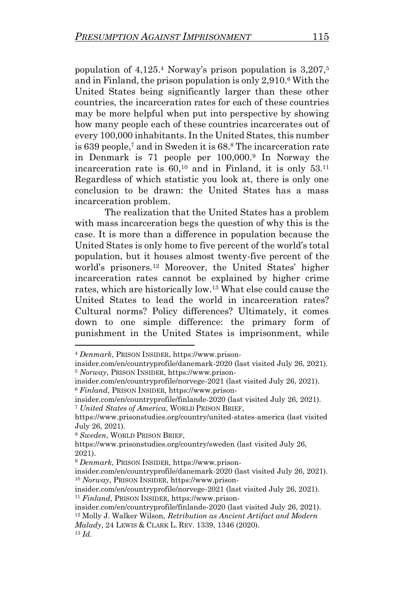population of 4,125.<sup>4</sup> Norway's prison population is 3,207,<sup>5</sup> and in Finland, the prison population is only 2,910.<sup>6</sup> With the United States being significantly larger than these other countries, the incarceration rates for each of these countries may be more helpful when put into perspective by showing how many people each of these countries incarcerates out of every 100,000 inhabitants. In the United States, this number is 639 people,<sup>7</sup> and in Sweden it is 68.<sup>8</sup> The incarceration rate in Denmark is 71 people per 100,000.<sup>9</sup> In Norway the incarceration rate is  $60<sup>10</sup>$  and in Finland, it is only  $53<sup>11</sup>$ Regardless of which statistic you look at, there is only one conclusion to be drawn: the United States has a mass incarceration problem.

The realization that the United States has a problem with mass incarceration begs the question of why this is the case. It is more than a difference in population because the United States is only home to five percent of the world's total population, but it houses almost twenty-five percent of the world's prisoners. <sup>12</sup> Moreover, the United States' higher incarceration rates cannot be explained by higher crime rates, which are historically low.<sup>13</sup> What else could cause the United States to lead the world in incarceration rates? Cultural norms? Policy differences? Ultimately, it comes down to one simple difference: the primary form of punishment in the United States is imprisonment, while

insider.com/en/countryprofile/norvege-2021 (last visited July 26, 2021).

<sup>6</sup> *Finland*, PRISON INSIDER, https://www.prison-

insider.com/en/countryprofile/finlande-2020 (last visited July 26, 2021). <sup>7</sup> *United States of America*, WORLD PRISON BRIEF,

<sup>8</sup> *Sweden*, WORLD PRISON BRIEF,

https://www.prisonstudies.org/country/sweden (last visited July 26, 2021).

*Malady*, 24 LEWIS & CLARK L. REV. 1339, 1346 (2020).

<sup>4</sup> *Denmark*, PRISON INSIDER, https://www.prison-

insider.com/en/countryprofile/danemark-2020 (last visited July 26, 2021). <sup>5</sup> *Norway*, PRISON INSIDER, https://www.prison-

https://www.prisonstudies.org/country/united-states-america (last visited July 26, 2021).

<sup>9</sup> *Denmark*, PRISON INSIDER, https://www.prison-

insider.com/en/countryprofile/danemark-2020 (last visited July 26, 2021). <sup>10</sup> *Norway*, PRISON INSIDER, https://www.prison-

insider.com/en/countryprofile/norvege-2021 (last visited July 26, 2021). <sup>11</sup> *Finland*, PRISON INSIDER, https://www.prison-

insider.com/en/countryprofile/finlande-2020 (last visited July 26, 2021).

<sup>12</sup> Molly J. Walker Wilson, *Retribution as Ancient Artifact and Modern* 

<sup>13</sup> *Id.*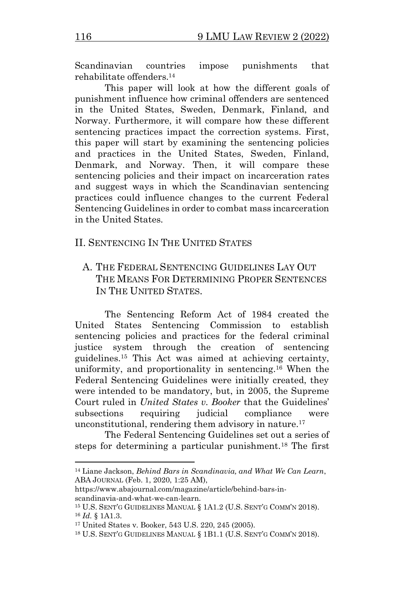Scandinavian countries impose punishments that rehabilitate offenders.<sup>14</sup>

This paper will look at how the different goals of punishment influence how criminal offenders are sentenced in the United States, Sweden, Denmark, Finland, and Norway. Furthermore, it will compare how these different sentencing practices impact the correction systems. First, this paper will start by examining the sentencing policies and practices in the United States, Sweden, Finland, Denmark, and Norway. Then, it will compare these sentencing policies and their impact on incarceration rates and suggest ways in which the Scandinavian sentencing practices could influence changes to the current Federal Sentencing Guidelines in order to combat mass incarceration in the United States.

#### II. SENTENCING IN THE UNITED STATES

A. THE FEDERAL SENTENCING GUIDELINES LAY OUT THE MEANS FOR DETERMINING PROPER SENTENCES IN THE UNITED STATES.

The Sentencing Reform Act of 1984 created the United States Sentencing Commission to establish sentencing policies and practices for the federal criminal justice system through the creation of sentencing guidelines.<sup>15</sup> This Act was aimed at achieving certainty, uniformity, and proportionality in sentencing.<sup>16</sup> When the Federal Sentencing Guidelines were initially created, they were intended to be mandatory, but, in 2005, the Supreme Court ruled in *United States v. Booker* that the Guidelines' subsections requiring judicial compliance were unconstitutional, rendering them advisory in nature.<sup>17</sup>

The Federal Sentencing Guidelines set out a series of steps for determining a particular punishment.<sup>18</sup> The first

<sup>14</sup> Liane Jackson, *Behind Bars in Scandinavia, and What We Can Learn*, ABA JOURNAL (Feb. 1, 2020, 1:25 AM),

https://www.abajournal.com/magazine/article/behind-bars-inscandinavia-and-what-we-can-learn.

<sup>15</sup> U.S. SENT'G GUIDELINES MANUAL § 1A1.2 (U.S. SENT'G COMM'N 2018). <sup>16</sup> *Id.* § 1A1.3.

<sup>17</sup> United States v. Booker, 543 U.S. 220, 245 (2005).

<sup>18</sup> U.S. SENT'G GUIDELINES MANUAL § 1B1.1 (U.S. SENT'G COMM'N 2018).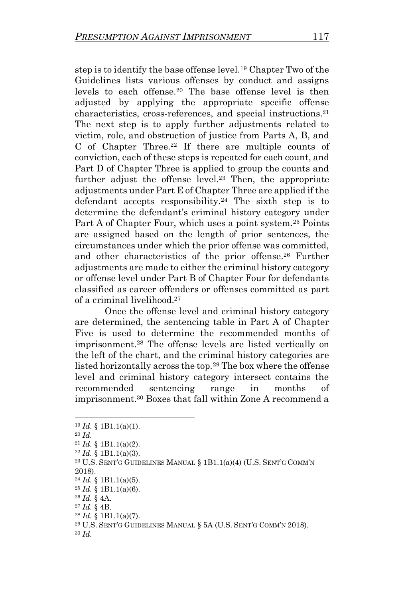step is to identify the base offense level.<sup>19</sup> Chapter Two of the Guidelines lists various offenses by conduct and assigns levels to each offense.<sup>20</sup> The base offense level is then adjusted by applying the appropriate specific offense characteristics, cross-references, and special instructions.<sup>21</sup> The next step is to apply further adjustments related to victim, role, and obstruction of justice from Parts A, B, and C of Chapter Three.<sup>22</sup> If there are multiple counts of conviction, each of these steps is repeated for each count, and Part D of Chapter Three is applied to group the counts and further adjust the offense level.<sup>23</sup> Then, the appropriate adjustments under Part E of Chapter Three are applied if the defendant accepts responsibility.<sup>24</sup> The sixth step is to determine the defendant's criminal history category under Part A of Chapter Four, which uses a point system.<sup>25</sup> Points are assigned based on the length of prior sentences, the circumstances under which the prior offense was committed, and other characteristics of the prior offense.<sup>26</sup> Further adjustments are made to either the criminal history category or offense level under Part B of Chapter Four for defendants classified as career offenders or offenses committed as part of a criminal livelihood.<sup>27</sup>

Once the offense level and criminal history category are determined, the sentencing table in Part A of Chapter Five is used to determine the recommended months of imprisonment.<sup>28</sup> The offense levels are listed vertically on the left of the chart, and the criminal history categories are listed horizontally across the top.<sup>29</sup> The box where the offense level and criminal history category intersect contains the recommended sentencing range in months of imprisonment.<sup>30</sup> Boxes that fall within Zone A recommend a

<sup>23</sup> U.S. SENT'G GUIDELINES MANUAL § 1B1.1(a)(4) (U.S. SENT'G COMM'N 2018).

<sup>19</sup> *Id.* § 1B1.1(a)(1).

<sup>20</sup> *Id.*

<sup>21</sup> *Id.* § 1B1.1(a)(2).

<sup>22</sup> *Id.* § 1B1.1(a)(3).

 $^{24}$  *Id.* § 1B1.1(a)(5).

<sup>25</sup> *Id.* § 1B1.1(a)(6).

<sup>26</sup> *Id.* § 4A.

<sup>27</sup> *Id.* § 4B.

<sup>28</sup> *Id.* § 1B1.1(a)(7).

<sup>29</sup> U.S. SENT'G GUIDELINES MANUAL § 5A (U.S. SENT'G COMM'N 2018).

<sup>30</sup> *Id.*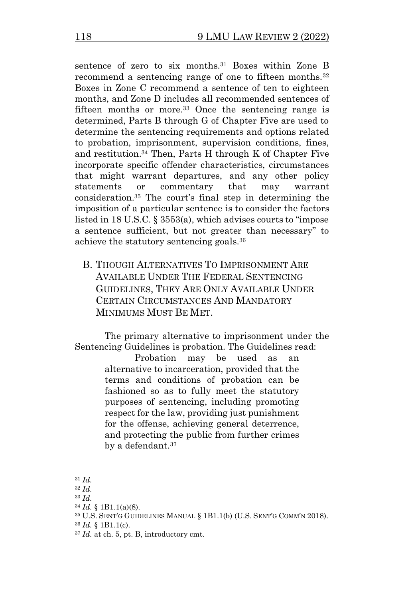sentence of zero to six months.<sup>31</sup> Boxes within Zone B recommend a sentencing range of one to fifteen months.<sup>32</sup> Boxes in Zone C recommend a sentence of ten to eighteen months, and Zone D includes all recommended sentences of fifteen months or more.<sup>33</sup> Once the sentencing range is determined, Parts B through G of Chapter Five are used to determine the sentencing requirements and options related to probation, imprisonment, supervision conditions, fines, and restitution.<sup>34</sup> Then, Parts H through K of Chapter Five incorporate specific offender characteristics, circumstances that might warrant departures, and any other policy statements or commentary that may warrant consideration.<sup>35</sup> The court's final step in determining the imposition of a particular sentence is to consider the factors listed in 18 U.S.C. § 3553(a), which advises courts to "impose a sentence sufficient, but not greater than necessary" to achieve the statutory sentencing goals.<sup>36</sup>

B. THOUGH ALTERNATIVES TO IMPRISONMENT ARE AVAILABLE UNDER THE FEDERAL SENTENCING GUIDELINES, THEY ARE ONLY AVAILABLE UNDER CERTAIN CIRCUMSTANCES AND MANDATORY MINIMUMS MUST BE MET.

The primary alternative to imprisonment under the Sentencing Guidelines is probation. The Guidelines read:

Probation may be used as an alternative to incarceration, provided that the terms and conditions of probation can be fashioned so as to fully meet the statutory purposes of sentencing, including promoting respect for the law, providing just punishment for the offense, achieving general deterrence, and protecting the public from further crimes by a defendant.<sup>37</sup>

<sup>31</sup> *Id.*

<sup>32</sup> *Id.*

<sup>33</sup> *Id.*

<sup>34</sup> *Id.* § 1B1.1(a)(8).

<sup>35</sup> U.S. SENT'G GUIDELINES MANUAL § 1B1.1(b) (U.S. SENT'G COMM'N 2018).

<sup>36</sup> *Id.* § 1B1.1(c).

<sup>37</sup> *Id.* at ch. 5, pt. B, introductory cmt.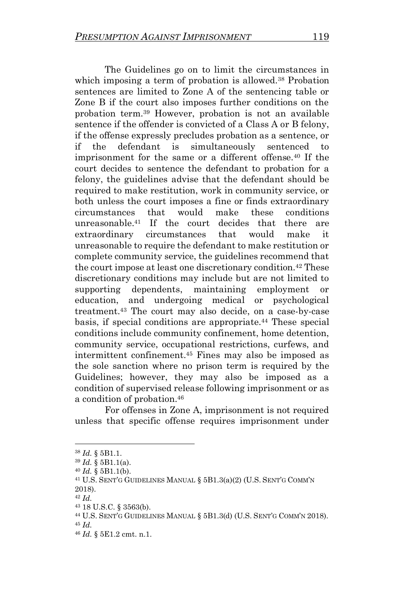The Guidelines go on to limit the circumstances in which imposing a term of probation is allowed.<sup>38</sup> Probation sentences are limited to Zone A of the sentencing table or Zone B if the court also imposes further conditions on the probation term.<sup>39</sup> However, probation is not an available sentence if the offender is convicted of a Class A or B felony, if the offense expressly precludes probation as a sentence, or if the defendant is simultaneously sentenced to imprisonment for the same or a different offense.<sup>40</sup> If the court decides to sentence the defendant to probation for a felony, the guidelines advise that the defendant should be required to make restitution, work in community service, or both unless the court imposes a fine or finds extraordinary circumstances that would make these conditions unreasonable.<sup>41</sup> If the court decides that there are extraordinary circumstances that would make it unreasonable to require the defendant to make restitution or complete community service, the guidelines recommend that the court impose at least one discretionary condition.<sup>42</sup> These discretionary conditions may include but are not limited to supporting dependents, maintaining employment or education, and undergoing medical or psychological treatment.<sup>43</sup> The court may also decide, on a case-by-case basis, if special conditions are appropriate.<sup>44</sup> These special conditions include community confinement, home detention, community service, occupational restrictions, curfews, and intermittent confinement.<sup>45</sup> Fines may also be imposed as the sole sanction where no prison term is required by the Guidelines; however, they may also be imposed as a condition of supervised release following imprisonment or as a condition of probation.<sup>46</sup>

For offenses in Zone A, imprisonment is not required unless that specific offense requires imprisonment under

<sup>38</sup> *Id.* § 5B1.1.

<sup>39</sup> *Id.* § 5B1.1(a).

 $40$  *Id.* § 5B1.1(b).

<sup>41</sup> U.S. SENT'G GUIDELINES MANUAL § 5B1.3(a)(2) (U.S. SENT'G COMM'N 2018).

<sup>42</sup> *Id.*

<sup>43</sup> 18 U.S.C. § 3563(b).

<sup>44</sup> U.S. SENT'G GUIDELINES MANUAL § 5B1.3(d) (U.S. SENT'G COMM'N 2018). <sup>45</sup> *Id.* 

<sup>46</sup> *Id.* § 5E1.2 cmt. n.1.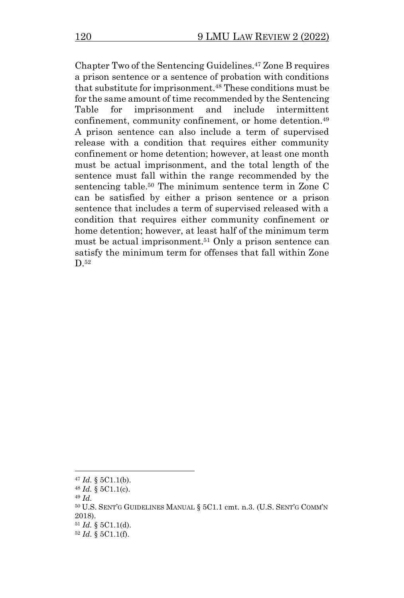Chapter Two of the Sentencing Guidelines.<sup>47</sup> Zone B requires a prison sentence or a sentence of probation with conditions that substitute for imprisonment.<sup>48</sup> These conditions must be for the same amount of time recommended by the Sentencing Table for imprisonment and include intermittent confinement, community confinement, or home detention.<sup>49</sup> A prison sentence can also include a term of supervised release with a condition that requires either community confinement or home detention; however, at least one month must be actual imprisonment, and the total length of the sentence must fall within the range recommended by the sentencing table.<sup>50</sup> The minimum sentence term in Zone C can be satisfied by either a prison sentence or a prison sentence that includes a term of supervised released with a condition that requires either community confinement or home detention; however, at least half of the minimum term must be actual imprisonment.<sup>51</sup> Only a prison sentence can satisfy the minimum term for offenses that fall within Zone D.<sup>52</sup>

 $47$  *Id.* § 5C1.1(b).

<sup>48</sup> *Id.* § 5C1.1(c).

<sup>49</sup> *Id.*

<sup>50</sup> U.S. SENT'G GUIDELINES MANUAL § 5C1.1 cmt. n.3. (U.S. SENT'G COMM'N 2018).

 $51$  *Id.* § 5C1.1(d).

<sup>52</sup> *Id.* § 5C1.1(f).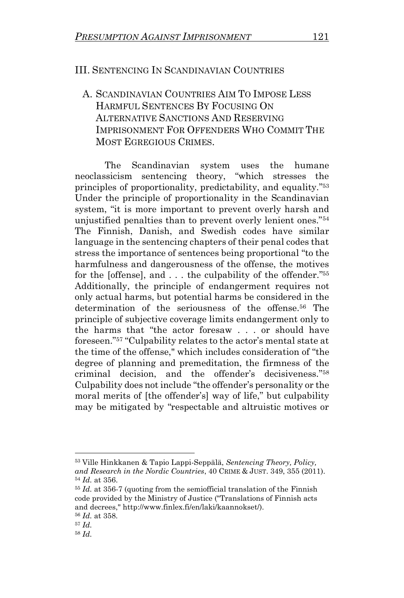### III. SENTENCING IN SCANDINAVIAN COUNTRIES

## A. SCANDINAVIAN COUNTRIES AIM TO IMPOSE LESS HARMFUL SENTENCES BY FOCUSING ON ALTERNATIVE SANCTIONS AND RESERVING IMPRISONMENT FOR OFFENDERS WHO COMMIT THE MOST EGREGIOUS CRIMES.

The Scandinavian system uses the humane neoclassicism sentencing theory, "which stresses the principles of proportionality, predictability, and equality." 53 Under the principle of proportionality in the Scandinavian system, "it is more important to prevent overly harsh and unjustified penalties than to prevent overly lenient ones."<sup>54</sup> The Finnish, Danish, and Swedish codes have similar language in the sentencing chapters of their penal codes that stress the importance of sentences being proportional "to the harmfulness and dangerousness of the offense, the motives for the [offense], and . . . the culpability of the offender." 55 Additionally, the principle of endangerment requires not only actual harms, but potential harms be considered in the determination of the seriousness of the offense.<sup>56</sup> The principle of subjective coverage limits endangerment only to the harms that "the actor foresaw . . . or should have foreseen." <sup>57</sup> "Culpability relates to the actor's mental state at the time of the offense," which includes consideration of "the degree of planning and premeditation, the firmness of the criminal decision, and the offender's decisiveness." 58 Culpability does not include "the offender's personality or the moral merits of [the offender's] way of life," but culpability may be mitigated by "respectable and altruistic motives or

<sup>53</sup> Ville Hinkkanen & Tapio Lappi-Seppälä, *Sentencing Theory, Policy, and Research in the Nordic Countries*, 40 CRIME & JUST. 349, 355 (2011). <sup>54</sup> *Id.* at 356.

<sup>55</sup> *Id.* at 356-7 (quoting from the semiofficial translation of the Finnish code provided by the Ministry of Justice ("Translations of Finnish acts and decrees," http://www.finlex.fi/en/laki/kaannokset/).

<sup>56</sup> *Id.* at 358.

<sup>57</sup> *Id.*

<sup>58</sup> *Id.*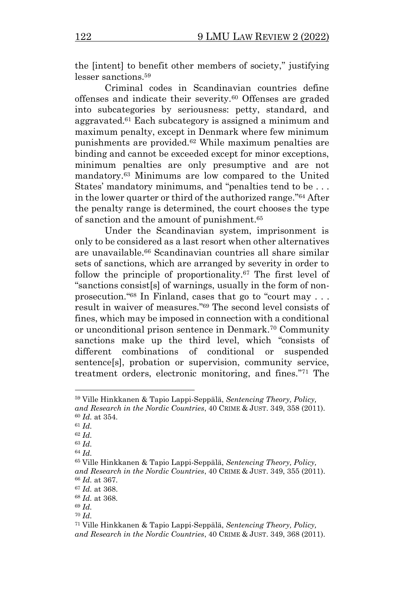the [intent] to benefit other members of society," justifying lesser sanctions. 59

Criminal codes in Scandinavian countries define offenses and indicate their severity.<sup>60</sup> Offenses are graded into subcategories by seriousness: petty, standard, and aggravated.<sup>61</sup> Each subcategory is assigned a minimum and maximum penalty, except in Denmark where few minimum punishments are provided.<sup>62</sup> While maximum penalties are binding and cannot be exceeded except for minor exceptions, minimum penalties are only presumptive and are not mandatory.<sup>63</sup> Minimums are low compared to the United States' mandatory minimums, and "penalties tend to be . . . in the lower quarter or third of the authorized range." <sup>64</sup> After the penalty range is determined, the court chooses the type of sanction and the amount of punishment.<sup>65</sup>

Under the Scandinavian system, imprisonment is only to be considered as a last resort when other alternatives are unavailable.<sup>66</sup> Scandinavian countries all share similar sets of sanctions, which are arranged by severity in order to follow the principle of proportionality.<sup>67</sup> The first level of "sanctions consist[s] of warnings, usually in the form of nonprosecution." <sup>68</sup> In Finland, cases that go to "court may . . . result in waiver of measures." <sup>69</sup> The second level consists of fines, which may be imposed in connection with a conditional or unconditional prison sentence in Denmark.<sup>70</sup> Community sanctions make up the third level, which "consists of different combinations of conditional or suspended sentence[s], probation or supervision, community service, treatment orders, electronic monitoring, and fines." <sup>71</sup> The

<sup>63</sup> *Id.*

<sup>59</sup> Ville Hinkkanen & Tapio Lappi-Seppälä, *Sentencing Theory, Policy, and Research in the Nordic Countries*, 40 CRIME & JUST. 349, 358 (2011). <sup>60</sup> *Id.* at 354.

<sup>61</sup> *Id.* 

<sup>62</sup> *Id.*

<sup>64</sup> *Id.*

<sup>65</sup> Ville Hinkkanen & Tapio Lappi-Seppälä, *Sentencing Theory, Policy, and Research in the Nordic Countries*, 40 CRIME & JUST. 349, 355 (2011). <sup>66</sup> *Id.* at 367.

<sup>67</sup> *Id.* at 368.

<sup>68</sup> *Id.* at 368.

<sup>69</sup> *Id.*

<sup>70</sup> *Id.*

<sup>71</sup> Ville Hinkkanen & Tapio Lappi-Seppälä, *Sentencing Theory, Policy,* 

*and Research in the Nordic Countries*, 40 CRIME & JUST. 349, 368 (2011).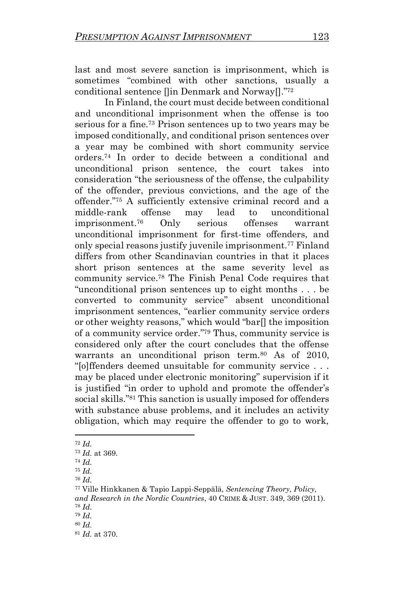last and most severe sanction is imprisonment, which is sometimes "combined with other sanctions, usually a conditional sentence []in Denmark and Norway[]." 72

In Finland, the court must decide between conditional and unconditional imprisonment when the offense is too serious for a fine.<sup>73</sup> Prison sentences up to two years may be imposed conditionally, and conditional prison sentences over a year may be combined with short community service orders.<sup>74</sup> In order to decide between a conditional and unconditional prison sentence, the court takes into consideration "the seriousness of the offense, the culpability of the offender, previous convictions, and the age of the offender."<sup>75</sup> A sufficiently extensive criminal record and a middle-rank offense may lead to unconditional imprisonment.<sup>76</sup> Only serious offenses warrant unconditional imprisonment for first-time offenders, and only special reasons justify juvenile imprisonment.<sup>77</sup> Finland differs from other Scandinavian countries in that it places short prison sentences at the same severity level as community service.<sup>78</sup> The Finish Penal Code requires that "unconditional prison sentences up to eight months . . . be converted to community service" absent unconditional imprisonment sentences, "earlier community service orders or other weighty reasons," which would "bar[] the imposition of a community service order." <sup>79</sup> Thus, community service is considered only after the court concludes that the offense warrants an unconditional prison term.<sup>80</sup> As of 2010, "[o]ffenders deemed unsuitable for community service . . . may be placed under electronic monitoring" supervision if it is justified "in order to uphold and promote the offender's social skills." <sup>81</sup> This sanction is usually imposed for offenders with substance abuse problems, and it includes an activity obligation, which may require the offender to go to work,

<sup>72</sup> *Id.*

<sup>73</sup> *Id.* at 369.

<sup>74</sup> *Id.*

<sup>75</sup> *Id.*

<sup>76</sup> *Id.*

<sup>77</sup> Ville Hinkkanen & Tapio Lappi-Seppälä, *Sentencing Theory, Policy,* 

*and Research in the Nordic Countries*, 40 CRIME & JUST. 349, 369 (2011). <sup>78</sup> *Id.*

<sup>79</sup> *Id.*

<sup>80</sup> *Id.*

<sup>81</sup> *Id.* at 370.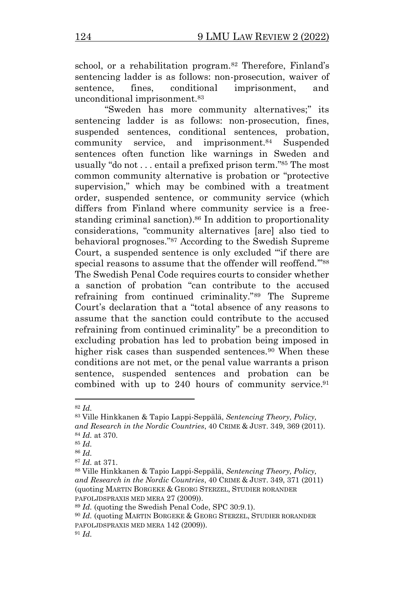school, or a rehabilitation program.<sup>82</sup> Therefore, Finland's sentencing ladder is as follows: non-prosecution, waiver of sentence, fines, conditional imprisonment, and unconditional imprisonment.<sup>83</sup>

"Sweden has more community alternatives;" its sentencing ladder is as follows: non-prosecution, fines, suspended sentences, conditional sentences, probation, community service, and imprisonment.<sup>84</sup> Suspended sentences often function like warnings in Sweden and usually "do not . . . entail a prefixed prison term." <sup>85</sup> The most common community alternative is probation or "protective supervision," which may be combined with a treatment order, suspended sentence, or community service (which differs from Finland where community service is a freestanding criminal sanction). <sup>86</sup> In addition to proportionality considerations, "community alternatives [are] also tied to behavioral prognoses." <sup>87</sup> According to the Swedish Supreme Court, a suspended sentence is only excluded "'if there are special reasons to assume that the offender will reoffend.""<sup>88</sup> The Swedish Penal Code requires courts to consider whether a sanction of probation "can contribute to the accused refraining from continued criminality."<sup>89</sup> The Supreme Court's declaration that a "total absence of any reasons to assume that the sanction could contribute to the accused refraining from continued criminality" be a precondition to excluding probation has led to probation being imposed in higher risk cases than suspended sentences.<sup>90</sup> When these conditions are not met, or the penal value warrants a prison sentence, suspended sentences and probation can be combined with up to 240 hours of community service.<sup>91</sup>

<sup>82</sup> *Id.*

<sup>83</sup> Ville Hinkkanen & Tapio Lappi-Seppälä, *Sentencing Theory, Policy, and Research in the Nordic Countries*, 40 CRIME & JUST. 349, 369 (2011). <sup>84</sup> *Id.* at 370.

<sup>85</sup> *Id.*

<sup>86</sup> *Id.*

<sup>87</sup> *Id.* at 371.

<sup>88</sup> Ville Hinkkanen & Tapio Lappi-Seppälä, *Sentencing Theory, Policy, and Research in the Nordic Countries*, 40 CRIME & JUST. 349, 371 (2011) (quoting MARTIN BORGEKE & GEORG STERZEL, STUDIER RORANDER PAFOLJDSPRAXIS MED MERA 27 (2009)).

<sup>89</sup> *Id.* (quoting the Swedish Penal Code, SPC 30:9.1).

<sup>90</sup> *Id.* (quoting MARTIN BORGEKE & GEORG STERZEL, STUDIER RORANDER PAFOLJDSPRAXIS MED MERA 142 (2009)).

<sup>91</sup> *Id.*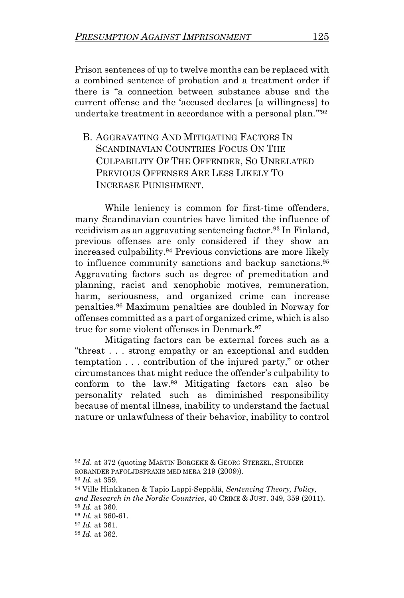Prison sentences of up to twelve months can be replaced with a combined sentence of probation and a treatment order if there is "a connection between substance abuse and the current offense and the 'accused declares [a willingness] to undertake treatment in accordance with a personal plan.'" 92

B. AGGRAVATING AND MITIGATING FACTORS IN SCANDINAVIAN COUNTRIES FOCUS ON THE CULPABILITY OF THE OFFENDER, SO UNRELATED PREVIOUS OFFENSES ARE LESS LIKELY TO INCREASE PUNISHMENT.

While leniency is common for first-time offenders, many Scandinavian countries have limited the influence of recidivism as an aggravating sentencing factor.<sup>93</sup> In Finland, previous offenses are only considered if they show an increased culpability.<sup>94</sup> Previous convictions are more likely to influence community sanctions and backup sanctions.<sup>95</sup> Aggravating factors such as degree of premeditation and planning, racist and xenophobic motives, remuneration, harm, seriousness, and organized crime can increase penalties.<sup>96</sup> Maximum penalties are doubled in Norway for offenses committed as a part of organized crime, which is also true for some violent offenses in Denmark.<sup>97</sup>

Mitigating factors can be external forces such as a "threat . . . strong empathy or an exceptional and sudden temptation . . . contribution of the injured party," or other circumstances that might reduce the offender's culpability to conform to the law.<sup>98</sup> Mitigating factors can also be personality related such as diminished responsibility because of mental illness, inability to understand the factual nature or unlawfulness of their behavior, inability to control

<sup>92</sup> *Id.* at 372 (quoting MARTIN BORGEKE & GEORG STERZEL, STUDIER RORANDER PAFOLJDSPRAXIS MED MERA 219 (2009)).

<sup>93</sup> *Id.* at 359.

<sup>94</sup> Ville Hinkkanen & Tapio Lappi-Seppälä, *Sentencing Theory, Policy, and Research in the Nordic Countries*, 40 CRIME & JUST. 349, 359 (2011). <sup>95</sup> *Id.* at 360.

<sup>96</sup> *Id.* at 360-61.

<sup>97</sup> *Id.* at 361.

<sup>98</sup> *Id.* at 362.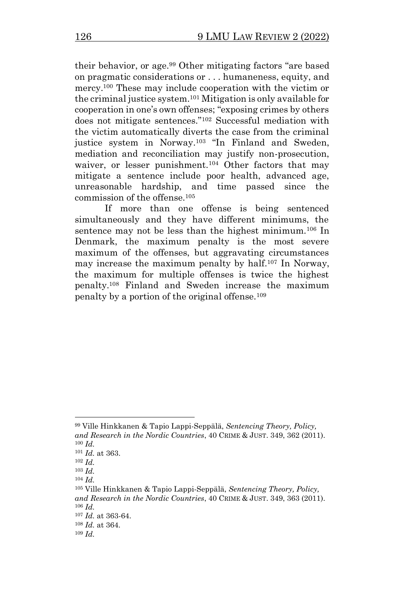their behavior, or age.<sup>99</sup> Other mitigating factors "are based on pragmatic considerations or . . . humaneness, equity, and mercy.<sup>100</sup> These may include cooperation with the victim or the criminal justice system.<sup>101</sup> Mitigation is only available for cooperation in one's own offenses; "exposing crimes by others does not mitigate sentences." <sup>102</sup> Successful mediation with the victim automatically diverts the case from the criminal justice system in Norway.<sup>103</sup> "In Finland and Sweden, mediation and reconciliation may justify non-prosecution, waiver, or lesser punishment.<sup>104</sup> Other factors that may mitigate a sentence include poor health, advanced age, unreasonable hardship, and time passed since the commission of the offense.<sup>105</sup>

If more than one offense is being sentenced simultaneously and they have different minimums, the sentence may not be less than the highest minimum.<sup>106</sup> In Denmark, the maximum penalty is the most severe maximum of the offenses, but aggravating circumstances may increase the maximum penalty by half.<sup>107</sup> In Norway, the maximum for multiple offenses is twice the highest penalty.<sup>108</sup> Finland and Sweden increase the maximum penalty by a portion of the original offense.<sup>109</sup>

<sup>99</sup> Ville Hinkkanen & Tapio Lappi-Seppälä, *Sentencing Theory, Policy, and Research in the Nordic Countries*, 40 CRIME & JUST. 349, 362 (2011). <sup>100</sup> *Id.*

<sup>101</sup> *Id.* at 363.

<sup>102</sup> *Id.*

<sup>103</sup> *Id.*

<sup>104</sup> *Id.*

<sup>105</sup> Ville Hinkkanen & Tapio Lappi-Seppälä, *Sentencing Theory, Policy, and Research in the Nordic Countries*, 40 CRIME & JUST. 349, 363 (2011). <sup>106</sup> *Id.*

<sup>107</sup> *Id.* at 363-64.

<sup>108</sup> *Id.* at 364.

<sup>109</sup> *Id.*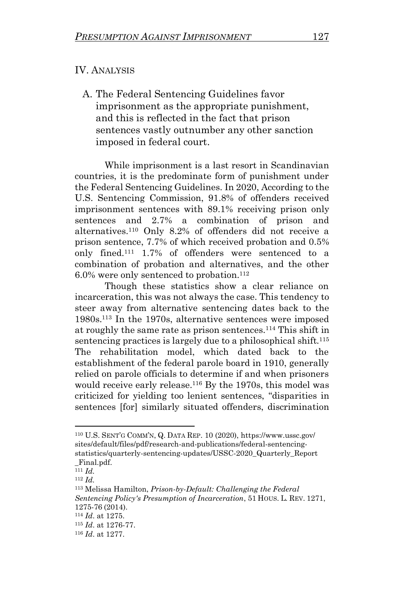#### IV. ANALYSIS

A. The Federal Sentencing Guidelines favor imprisonment as the appropriate punishment, and this is reflected in the fact that prison sentences vastly outnumber any other sanction imposed in federal court.

While imprisonment is a last resort in Scandinavian countries, it is the predominate form of punishment under the Federal Sentencing Guidelines. In 2020, According to the U.S. Sentencing Commission, 91.8% of offenders received imprisonment sentences with 89.1% receiving prison only sentences and 2.7% a combination of prison and alternatives.<sup>110</sup> Only 8.2% of offenders did not receive a prison sentence, 7.7% of which received probation and 0.5% only fined.<sup>111</sup> 1.7% of offenders were sentenced to a combination of probation and alternatives, and the other  $6.0\%$  were only sentenced to probation.<sup>112</sup>

Though these statistics show a clear reliance on incarceration, this was not always the case. This tendency to steer away from alternative sentencing dates back to the 1980s.<sup>113</sup> In the 1970s, alternative sentences were imposed at roughly the same rate as prison sentences.<sup>114</sup> This shift in sentencing practices is largely due to a philosophical shift.<sup>115</sup> The rehabilitation model, which dated back to the establishment of the federal parole board in 1910, generally relied on parole officials to determine if and when prisoners would receive early release.<sup>116</sup> By the 1970s, this model was criticized for yielding too lenient sentences, "disparities in sentences [for] similarly situated offenders, discrimination

<sup>110</sup> U.S. SENT'G COMM'N, Q. DATA REP. 10 (2020), https://www.ussc.gov/ sites/default/files/pdf/research-and-publications/federal-sentencingstatistics/quarterly-sentencing-updates/USSC-2020\_Quarterly\_Report \_Final.pdf.

<sup>111</sup> *Id.*

<sup>112</sup> *Id.*

<sup>113</sup> Melissa Hamilton, *Prison-by-Default: Challenging the Federal Sentencing Policy's Presumption of Incarceration*, 51 HOUS. L. REV. 1271, 1275-76 (2014).

<sup>114</sup> *Id*. at 1275.

<sup>115</sup> *Id*. at 1276-77.

<sup>116</sup> *Id*. at 1277.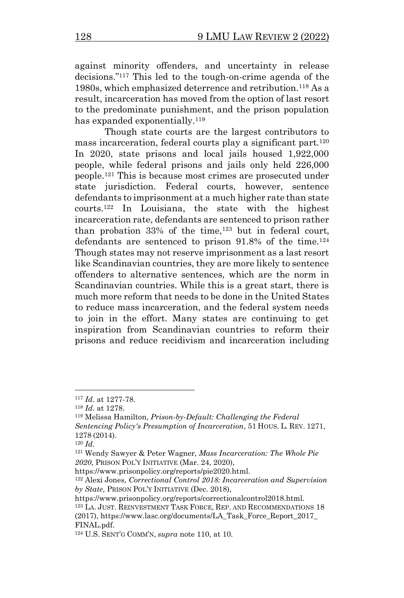against minority offenders, and uncertainty in release decisions." <sup>117</sup> This led to the tough-on-crime agenda of the 1980s, which emphasized deterrence and retribution.<sup>118</sup> As a result, incarceration has moved from the option of last resort to the predominate punishment, and the prison population has expanded exponentially.<sup>119</sup>

Though state courts are the largest contributors to mass incarceration, federal courts play a significant part.<sup>120</sup> In 2020, state prisons and local jails housed 1,922,000 people, while federal prisons and jails only held 226,000 people.<sup>121</sup> This is because most crimes are prosecuted under state jurisdiction. Federal courts, however, sentence defendants to imprisonment at a much higher rate than state courts.<sup>122</sup> In Louisiana, the state with the highest incarceration rate, defendants are sentenced to prison rather than probation  $33\%$  of the time,  $123$  but in federal court, defendants are sentenced to prison  $91.8\%$  of the time.<sup>124</sup> Though states may not reserve imprisonment as a last resort like Scandinavian countries, they are more likely to sentence offenders to alternative sentences, which are the norm in Scandinavian countries. While this is a great start, there is much more reform that needs to be done in the United States to reduce mass incarceration, and the federal system needs to join in the effort. Many states are continuing to get inspiration from Scandinavian countries to reform their prisons and reduce recidivism and incarceration including

<sup>117</sup> *Id*. at 1277-78.

<sup>118</sup> *Id*. at 1278.

<sup>119</sup> Melissa Hamilton, *Prison-by-Default: Challenging the Federal Sentencing Policy's Presumption of Incarceration*, 51 HOUS. L. REV. 1271, 1278 (2014).

<sup>120</sup> *Id.*

<sup>121</sup> Wendy Sawyer & Peter Wagner, *Mass Incarceration: The Whole Pie 2020*, PRISON POL'Y INITIATIVE (Mar. 24, 2020),

https://www.prisonpolicy.org/reports/pie2020.html.

<sup>122</sup> Alexi Jones, *Correctional Control 2018: Incarceration and Supervision by State*, PRISON POL'Y INITIATIVE (Dec. 2018),

https://www.prisonpolicy.org/reports/correctionalcontrol2018.html.

<sup>123</sup> LA. JUST. REINVESTMENT TASK FORCE, REP. AND RECOMMENDATIONS 18 (2017), https://www.lasc.org/documents/LA\_Task\_Force\_Report\_2017\_

FINAL.pdf.

<sup>124</sup> U.S. SENT'G COMM'N, *supra* note 110, at 10.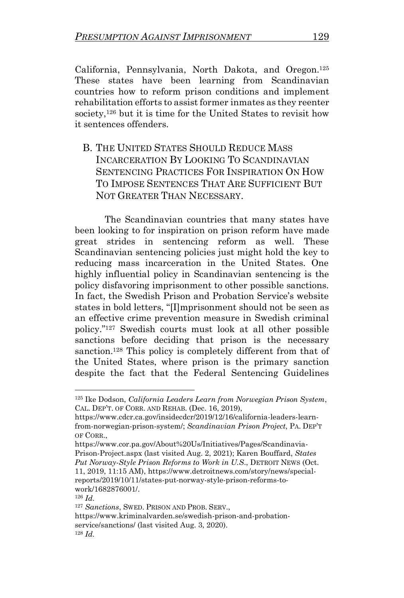California, Pennsylvania, North Dakota, and Oregon.<sup>125</sup> These states have been learning from Scandinavian countries how to reform prison conditions and implement rehabilitation efforts to assist former inmates as they reenter society,<sup>126</sup> but it is time for the United States to revisit how it sentences offenders.

B. THE UNITED STATES SHOULD REDUCE MASS INCARCERATION BY LOOKING TO SCANDINAVIAN SENTENCING PRACTICES FOR INSPIRATION ON HOW TO IMPOSE SENTENCES THAT ARE SUFFICIENT BUT NOT GREATER THAN NECESSARY.

The Scandinavian countries that many states have been looking to for inspiration on prison reform have made great strides in sentencing reform as well. These Scandinavian sentencing policies just might hold the key to reducing mass incarceration in the United States. One highly influential policy in Scandinavian sentencing is the policy disfavoring imprisonment to other possible sanctions. In fact, the Swedish Prison and Probation Service's website states in bold letters, "[I]mprisonment should not be seen as an effective crime prevention measure in Swedish criminal policy."<sup>127</sup> Swedish courts must look at all other possible sanctions before deciding that prison is the necessary sanction.<sup>128</sup> This policy is completely different from that of the United States, where prison is the primary sanction despite the fact that the Federal Sentencing Guidelines

<sup>125</sup> Ike Dodson, *California Leaders Learn from Norwegian Prison System*, CAL. DEP'T. OF CORR. AND REHAB. (Dec. 16, 2019),

https://www.cdcr.ca.gov/insidecdcr/2019/12/16/california-leaders-learnfrom-norwegian-prison-system/; *Scandinavian Prison Project*, PA. DEP'T OF CORR.,

https://www.cor.pa.gov/About%20Us/Initiatives/Pages/Scandinavia-Prison-Project.aspx (last visited Aug. 2, 2021); Karen Bouffard, *States Put Norway-Style Prison Reforms to Work in U.S*., DETROIT NEWS (Oct. 11, 2019, 11:15 AM), https://www.detroitnews.com/story/news/specialreports/2019/10/11/states-put-norway-style-prison-reforms-towork/1682876001/.

<sup>126</sup> *Id.*

<sup>127</sup> *Sanctions*, SWED. PRISON AND PROB. SERV.,

https://www.kriminalvarden.se/swedish-prison-and-probationservice/sanctions/ (last visited Aug. 3, 2020). <sup>128</sup> *Id.*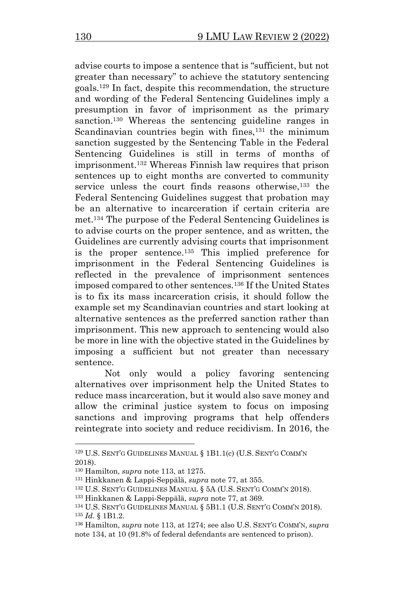advise courts to impose a sentence that is "sufficient, but not greater than necessary" to achieve the statutory sentencing goals.<sup>129</sup> In fact, despite this recommendation, the structure and wording of the Federal Sentencing Guidelines imply a presumption in favor of imprisonment as the primary sanction.<sup>130</sup> Whereas the sentencing guideline ranges in Scandinavian countries begin with fines,<sup>131</sup> the minimum sanction suggested by the Sentencing Table in the Federal Sentencing Guidelines is still in terms of months of imprisonment.<sup>132</sup> Whereas Finnish law requires that prison sentences up to eight months are converted to community service unless the court finds reasons otherwise,<sup>133</sup> the Federal Sentencing Guidelines suggest that probation may be an alternative to incarceration if certain criteria are met.<sup>134</sup> The purpose of the Federal Sentencing Guidelines is to advise courts on the proper sentence, and as written, the Guidelines are currently advising courts that imprisonment is the proper sentence.<sup>135</sup> This implied preference for imprisonment in the Federal Sentencing Guidelines is reflected in the prevalence of imprisonment sentences imposed compared to other sentences.<sup>136</sup> If the United States is to fix its mass incarceration crisis, it should follow the example set my Scandinavian countries and start looking at alternative sentences as the preferred sanction rather than imprisonment. This new approach to sentencing would also be more in line with the objective stated in the Guidelines by imposing a sufficient but not greater than necessary sentence.

Not only would a policy favoring sentencing alternatives over imprisonment help the United States to reduce mass incarceration, but it would also save money and allow the criminal justice system to focus on imposing sanctions and improving programs that help offenders reintegrate into society and reduce recidivism. In 2016, the

<sup>129</sup> U.S. SENT'G GUIDELINES MANUAL § 1B1.1(c) (U.S. SENT'G COMM'N 2018).

<sup>130</sup> Hamilton, *supra* note 113, at 1275.

<sup>131</sup> Hinkkanen & Lappi-Seppälä, *supra* note 77, at 355.

<sup>132</sup> U.S. SENT'G GUIDELINES MANUAL § 5A (U.S. SENT'G COMM'N 2018).

<sup>133</sup> Hinkkanen & Lappi-Seppälä, *supra* note 77, at 369.

<sup>134</sup> U.S. SENT'G GUIDELINES MANUAL § 5B1.1 (U.S. SENT'G COMM'N 2018). <sup>135</sup> *Id.* § 1B1.2.

<sup>136</sup> Hamilton, *supra* note 113, at 1274; see also U.S. SENT'G COMM'N, *supra* note 134, at 10 (91.8% of federal defendants are sentenced to prison).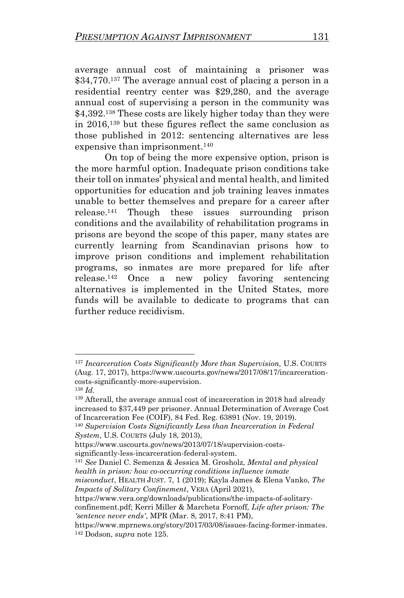average annual cost of maintaining a prisoner was \$34,770.<sup>137</sup> The average annual cost of placing a person in a residential reentry center was \$29,280, and the average annual cost of supervising a person in the community was \$4,392.<sup>138</sup> These costs are likely higher today than they were in 2016,<sup>139</sup> but these figures reflect the same conclusion as those published in 2012: sentencing alternatives are less expensive than imprisonment.<sup>140</sup>

On top of being the more expensive option, prison is the more harmful option. Inadequate prison conditions take their toll on inmates' physical and mental health, and limited opportunities for education and job training leaves inmates unable to better themselves and prepare for a career after release.<sup>141</sup> Though these issues surrounding prison conditions and the availability of rehabilitation programs in prisons are beyond the scope of this paper, many states are currently learning from Scandinavian prisons how to improve prison conditions and implement rehabilitation programs, so inmates are more prepared for life after release. <sup>142</sup> Once a new policy favoring sentencing alternatives is implemented in the United States, more funds will be available to dedicate to programs that can further reduce recidivism.

significantly-less-incarceration-federal-system.

https://www.vera.org/downloads/publications/the-impacts-of-solitaryconfinement.pdf; Kerri Miller & Marcheta Fornoff*, Life after prison: The 'sentence never ends'*, MPR (Mar. 8, 2017, 8:41 PM),

<sup>137</sup> *Incarceration Costs Significantly More than Supervision,* U.S. COURTS (Aug. 17, 2017), https://www.uscourts.gov/news/2017/08/17/incarcerationcosts-significantly-more-supervision.

<sup>138</sup> *Id.* <sup>139</sup> Afterall, the average annual cost of incarceration in 2018 had already increased to \$37,449 per prisoner. Annual Determination of Average Cost of Incarceration Fee (COIF), 84 Fed. Reg. 63891 (Nov. 19, 2019).

<sup>140</sup> *Supervision Costs Significantly Less than Incarceration in Federal System*, U.S. COURTS (July 18, 2013),

https://www.uscourts.gov/news/2013/07/18/supervision-costs-

<sup>141</sup> *See* Daniel C. Semenza & Jessica M. Grosholz, *Mental and physical health in prison: how co-occurring conditions influence inmate* 

*misconduct*, HEALTH JUST. 7, 1 (2019); Kayla James & Elena Vanko, *The Impacts of Solitary Confinement*, VERA (April 2021),

https://www.mprnews.org/story/2017/03/08/issues-facing-former-inmates. <sup>142</sup> Dodson, *supra* note 125.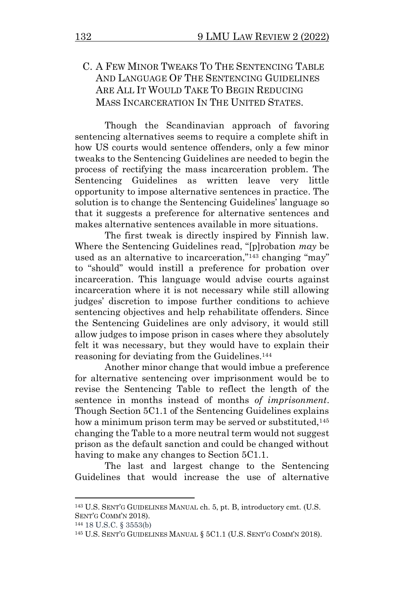## C. A FEW MINOR TWEAKS TO THE SENTENCING TABLE AND LANGUAGE OF THE SENTENCING GUIDELINES ARE ALL IT WOULD TAKE TO BEGIN REDUCING MASS INCARCERATION IN THE UNITED STATES.

Though the Scandinavian approach of favoring sentencing alternatives seems to require a complete shift in how US courts would sentence offenders, only a few minor tweaks to the Sentencing Guidelines are needed to begin the process of rectifying the mass incarceration problem. The Sentencing Guidelines as written leave very little opportunity to impose alternative sentences in practice. The solution is to change the Sentencing Guidelines' language so that it suggests a preference for alternative sentences and makes alternative sentences available in more situations.

The first tweak is directly inspired by Finnish law. Where the Sentencing Guidelines read, "[p]robation *may* be used as an alternative to incarceration,"<sup>143</sup> changing "may" to "should" would instill a preference for probation over incarceration. This language would advise courts against incarceration where it is not necessary while still allowing judges' discretion to impose further conditions to achieve sentencing objectives and help rehabilitate offenders. Since the Sentencing Guidelines are only advisory, it would still allow judges to impose prison in cases where they absolutely felt it was necessary, but they would have to explain their reasoning for deviating from the Guidelines.<sup>144</sup>

Another minor change that would imbue a preference for alternative sentencing over imprisonment would be to revise the Sentencing Table to reflect the length of the sentence in months instead of months *of imprisonment*. Though Section 5C1.1 of the Sentencing Guidelines explains how a minimum prison term may be served or substituted,<sup>145</sup> changing the Table to a more neutral term would not suggest prison as the default sanction and could be changed without having to make any changes to Section 5C1.1.

The last and largest change to the Sentencing Guidelines that would increase the use of alternative

<sup>143</sup> U.S. SENT'G GUIDELINES MANUAL ch. 5, pt. B, introductory cmt. (U.S. SENT'G COMM'N 2018).

<sup>144</sup> 18 U.S.C. § 3553(b)

<sup>145</sup> U.S. SENT'G GUIDELINES MANUAL § 5C1.1 (U.S. SENT'G COMM'N 2018).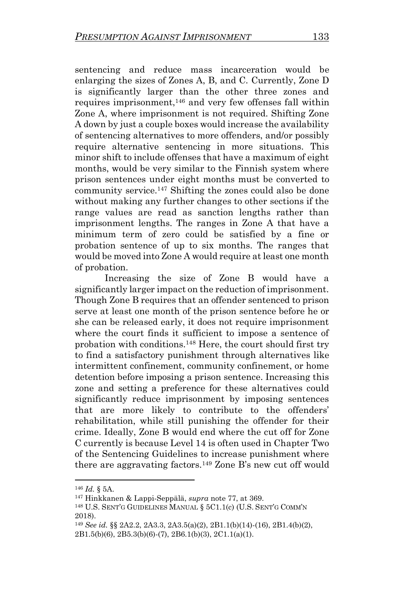sentencing and reduce mass incarceration would be enlarging the sizes of Zones A, B, and C. Currently, Zone D is significantly larger than the other three zones and requires imprisonment,<sup>146</sup> and very few offenses fall within Zone A, where imprisonment is not required. Shifting Zone A down by just a couple boxes would increase the availability of sentencing alternatives to more offenders, and/or possibly require alternative sentencing in more situations. This minor shift to include offenses that have a maximum of eight months, would be very similar to the Finnish system where prison sentences under eight months must be converted to community service.<sup>147</sup> Shifting the zones could also be done without making any further changes to other sections if the range values are read as sanction lengths rather than imprisonment lengths. The ranges in Zone A that have a minimum term of zero could be satisfied by a fine or probation sentence of up to six months. The ranges that would be moved into Zone A would require at least one month of probation.

Increasing the size of Zone B would have a significantly larger impact on the reduction of imprisonment. Though Zone B requires that an offender sentenced to prison serve at least one month of the prison sentence before he or she can be released early, it does not require imprisonment where the court finds it sufficient to impose a sentence of probation with conditions.<sup>148</sup> Here, the court should first try to find a satisfactory punishment through alternatives like intermittent confinement, community confinement, or home detention before imposing a prison sentence. Increasing this zone and setting a preference for these alternatives could significantly reduce imprisonment by imposing sentences that are more likely to contribute to the offenders' rehabilitation, while still punishing the offender for their crime. Ideally, Zone B would end where the cut off for Zone C currently is because Level 14 is often used in Chapter Two of the Sentencing Guidelines to increase punishment where there are aggravating factors.<sup>149</sup> Zone B's new cut off would

<sup>146</sup> *Id.* § 5A.

<sup>147</sup> Hinkkanen & Lappi-Seppälä, *supra* note 77, at 369.

<sup>148</sup> U.S. SENT'G GUIDELINES MANUAL § 5C1.1(c) (U.S. SENT'G COMM'N 2018).

<sup>149</sup> *See id.* §§ 2A2.2, 2A3.3, 2A3.5(a)(2), 2B1.1(b)(14)-(16), 2B1.4(b)(2), 2B1.5(b)(6), 2B5.3(b)(6)-(7), 2B6.1(b)(3), 2C1.1(a)(1).